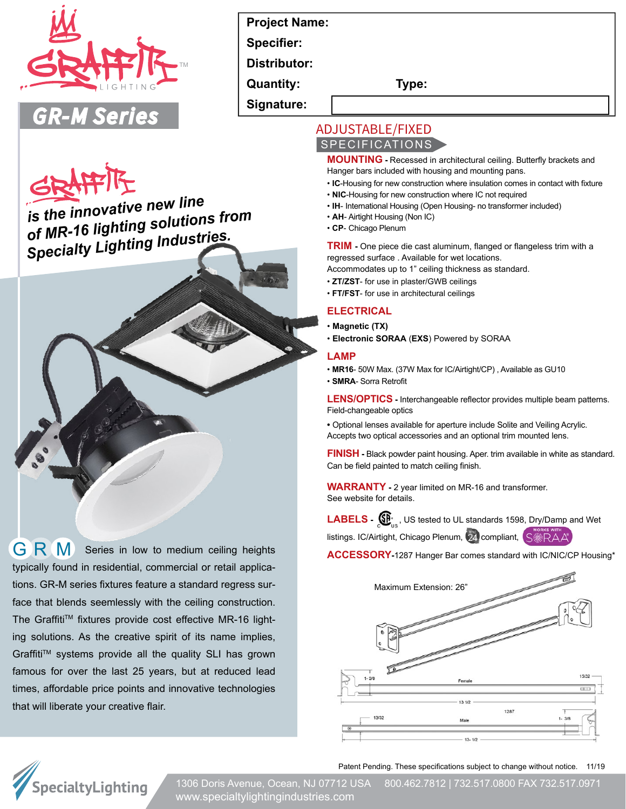

# **Project Name:**

**Specifier:**

**Distributor:** 

**Quantity: Type:**

**Signature:**

# **ADJUSTABLE/FIXED** SPECIFICATIONS

**MOUNTING -** Recessed in architectural ceiling. Butterfly brackets and Hanger bars included with housing and mounting pans.

- **IC**-Housing for new construction where insulation comes in contact with fixture
- **NIC**-Housing for new construction where IC not required
- **IH** International Housing (Open Housing- no transformer included)
- **AH** Airtight Housing (Non IC)
- **CP** Chicago Plenum

**TRIM -** One piece die cast aluminum, flanged or flangeless trim with a regressed surface . Available for wet locations.

- Accommodates up to 1" ceiling thickness as standard.
- **ZT/ZST** for use in plaster/GWB ceilings
- **FT/FST** for use in architectural ceilings

### **ELECTRICAL**

- **Magnetic (TX)**
- **Electronic SORAA** (**EXS**) Powered by SORAA

#### **LAMP**

- **MR16** 50W Max. (37W Max for IC/Airtight/CP) , Available as GU10
- **SMRA** Sorra Retrofit

**LENS/OPTICS -** Interchangeable reflector provides multiple beam patterns. Field-changeable optics

**•** Optional lenses available for aperture include Solite and Veiling Acrylic. Accepts two optical accessories and an optional trim mounted lens.

**FINISH -** Black powder paint housing. Aper. trim available in white as standard. Can be field painted to match ceiling finish.

**WARRANTY -** 2 year limited on MR-16 and transformer. See website for details.

LABELS -  $\bigoplus_{n=1}^{\infty}$ , US tested to UL standards 1598, Dry/Damp and Wet

listings. IC/Airtight, Chicago Plenum, 24 compliant, **S:RAA** 

**ACCESSORY-**1287 Hanger Bar comes standard with IC/NIC/CP Housing\*



Patent Pending. These specifications subject to change without notice. 11/19



1306 Doris Avenue, Ocean, NJ 07712 USA 800.462.7812 | 732.517.0800 FAX 732.517.0971 www.specialtylightingindustries.com

 *is the innovative new line of MR-16 lighting solutions from Specialty Lighting Industries.*

GRM Series in low to medium ceiling heights typically found in residential, commercial or retail applications. GR-M series fixtures feature a standard regress surface that blends seemlessly with the ceiling construction. The Graffiti™ fixtures provide cost effective MR-16 lighting solutions. As the creative spirit of its name implies, Graffiti™ systems provide all the quality SLI has grown famous for over the last 25 years, but at reduced lead times, affordable price points and innovative technologies that will liberate your creative flair.